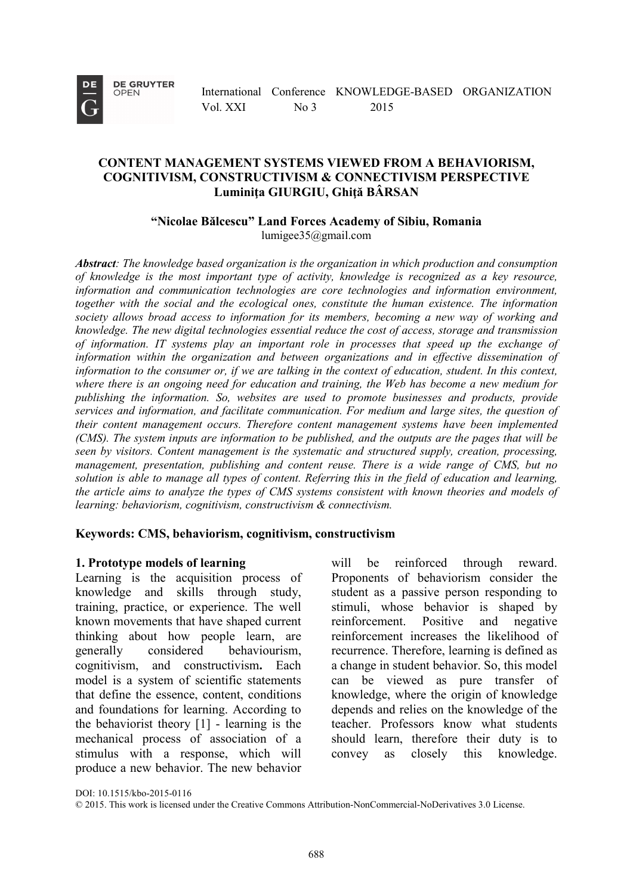**DE** 

**DE GRUYTER** OPEN

International Conference KNOWLEDGE-BASED ORGANIZATION Vol. XXI No 3 2015

## **CONTENT MANAGEMENT SYSTEMS VIEWED FROM A BEHAVIORISM, COGNITIVISM, CONSTRUCTIVISM & CONNECTIVISM PERSPECTIVE Luminiţa GIURGIU, Ghiţă BÂRSAN**

**"Nicolae Bălcescu" Land Forces Academy of Sibiu, Romania** lumigee35@gmail.com

*Abstract: The knowledge based organization is the organization in which production and consumption of knowledge is the most important type of activity, knowledge is recognized as a key resource, information and communication technologies are core technologies and information environment, together with the social and the ecological ones, constitute the human existence. The information society allows broad access to information for its members, becoming a new way of working and knowledge. The new digital technologies essential reduce the cost of access, storage and transmission of information. IT systems play an important role in processes that speed up the exchange of information within the organization and between organizations and in effective dissemination of information to the consumer or, if we are talking in the context of education, student. In this context, where there is an ongoing need for education and training, the Web has become a new medium for publishing the information. So, websites are used to promote businesses and products, provide services and information, and facilitate communication. For medium and large sites, the question of their content management occurs. Therefore content management systems have been implemented (CMS). The system inputs are information to be published, and the outputs are the pages that will be seen by visitors. Content management is the systematic and structured supply, creation, processing, management, presentation, publishing and content reuse. There is a wide range of CMS, but no solution is able to manage all types of content. Referring this in the field of education and learning, the article aims to analyze the types of CMS systems consistent with known theories and models of learning: behaviorism, cognitivism, constructivism & connectivism.*

#### **Keywords: CMS, behaviorism, cognitivism, constructivism**

#### **1. Prototype models of learning**

Learning is the acquisition process of knowledge and skills through study, training, practice, or experience. The well known movements that have shaped current thinking about how people learn, are generally considered behaviourism, cognitivism, and constructivism**.** Each model is a system of scientific statements that define the essence, content, conditions and foundations for learning. According to the behaviorist theory [1] - learning is the mechanical process of association of a stimulus with a response, which will produce a new behavior. The new behavior

will be reinforced through reward. Proponents of behaviorism consider the student as a passive person responding to stimuli, whose behavior is shaped by reinforcement. Positive and negative reinforcement increases the likelihood of recurrence. Therefore, learning is defined as a change in student behavior. So, this model can be viewed as pure transfer of knowledge, where the origin of knowledge depends and relies on the knowledge of the teacher. Professors know what students should learn, therefore their duty is to convey as closely this knowledge.

DOI: 10.1515/kbo-2015-0116

<sup>©</sup> 2015. This work is licensed under the Creative Commons Attribution-NonCommercial-NoDerivatives 3.0 License.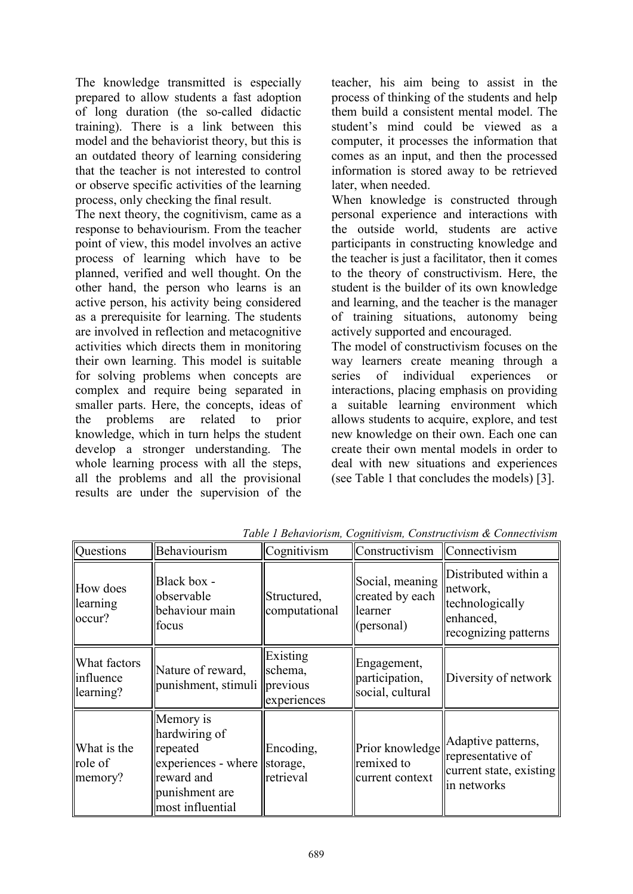The knowledge transmitted is especially prepared to allow students a fast adoption of long duration (the so-called didactic training). There is a link between this model and the behaviorist theory, but this is an outdated theory of learning considering that the teacher is not interested to control or observe specific activities of the learning process, only checking the final result.

The next theory, the cognitivism, came as a response to behaviourism. From the teacher point of view, this model involves an active process of learning which have to be planned, verified and well thought. On the other hand, the person who learns is an active person, his activity being considered as a prerequisite for learning. The students are involved in reflection and metacognitive activities which directs them in monitoring their own learning. This model is suitable for solving problems when concepts are complex and require being separated in smaller parts. Here, the concepts, ideas of the problems are related to prior knowledge, which in turn helps the student develop a stronger understanding. The whole learning process with all the steps, all the problems and all the provisional results are under the supervision of the

teacher, his aim being to assist in the process of thinking of the students and help them build a consistent mental model. The student's mind could be viewed as a computer, it processes the information that comes as an input, and then the processed information is stored away to be retrieved later, when needed.

When knowledge is constructed through personal experience and interactions with the outside world, students are active participants in constructing knowledge and the teacher is just a facilitator, then it comes to the theory of constructivism. Here, the student is the builder of its own knowledge and learning, and the teacher is the manager of training situations, autonomy being actively supported and encouraged.

The model of constructivism focuses on the way learners create meaning through a<br>series of individual experiences or series of individual experiences or interactions, placing emphasis on providing a suitable learning environment which allows students to acquire, explore, and test new knowledge on their own. Each one can create their own mental models in order to deal with new situations and experiences (see Table 1 that concludes the models) [3].

| Questions                                           | Behaviourism                                                                                                                 | Cognitivism                        | Constructivism                                              | $ $ Connectivism                                                                         |
|-----------------------------------------------------|------------------------------------------------------------------------------------------------------------------------------|------------------------------------|-------------------------------------------------------------|------------------------------------------------------------------------------------------|
| How does<br>learning<br>occur?                      | Black box -<br>observable<br>behaviour main<br>focus                                                                         | Structured,<br>computational       | Social, meaning<br>created by each<br>learner<br>(personal) | Distributed within a<br>network,<br>technologically<br>enhanced,<br>recognizing patterns |
| What factors<br>linfluence<br>$\parallel$ learning? | Nature of reward,<br>punishment, stimuli   previous                                                                          | Existing<br>schema.<br>experiences | Engagement,<br>participation,<br>social, cultural           | Diversity of network                                                                     |
| What is the<br>role of<br>memory?                   | Memory is<br>hardwiring of<br>repeated<br>experiences - where   storage,<br>reward and<br>punishment are<br>most influential | Encoding,<br>retrieval             | Prior knowledge<br>remixed to<br>current context            | Adaptive patterns,<br>representative of<br>current state, existing<br>in networks        |

*Table 1 Behaviorism, Cognitivism, Constructivism & Connectivism*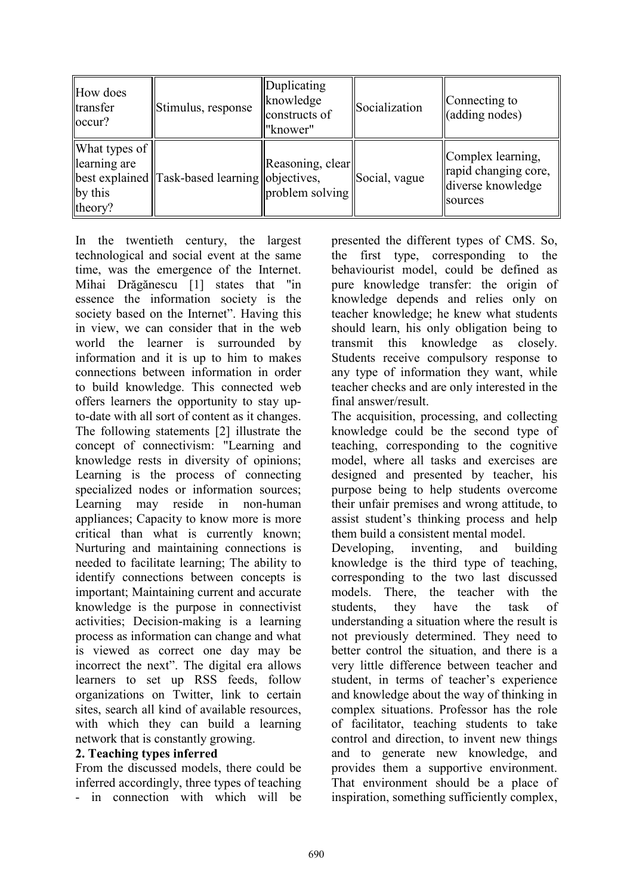| How does<br>transfer<br> occur?                     | Stimulus, response                             | Duplicating<br>knowledge<br>constructs of<br>"knower" | <b>Socialization</b> | $\sqrt{\frac{1}{2}}$ Connecting to<br>(adding nodes)                      |
|-----------------------------------------------------|------------------------------------------------|-------------------------------------------------------|----------------------|---------------------------------------------------------------------------|
| What types of<br>learning are<br>by this<br>theory? | best explained Task-based learning objectives, | Reasoning, clear<br>problem solving                   | Social, vague        | Complex learning,<br>rapid changing core,<br>diverse knowledge<br>sources |

In the twentieth century, the largest technological and social event at the same time, was the emergence of the Internet. Mihai Drăgănescu [1] states that "in essence the information society is the society based on the Internet". Having this in view, we can consider that in the web world the learner is surrounded by information and it is up to him to makes connections between information in order to build knowledge. This connected web offers learners the opportunity to stay upto-date with all sort of content as it changes. The following statements [2] illustrate the concept of connectivism: "Learning and knowledge rests in diversity of opinions; Learning is the process of connecting specialized nodes or information sources; Learning may reside in non-human appliances; Capacity to know more is more critical than what is currently known; Nurturing and maintaining connections is needed to facilitate learning; The ability to identify connections between concepts is important; Maintaining current and accurate knowledge is the purpose in connectivist activities; Decision-making is a learning process as information can change and what is viewed as correct one day may be incorrect the next". The digital era allows learners to set up RSS feeds, follow organizations on Twitter, link to certain sites, search all kind of available resources, with which they can build a learning network that is constantly growing.

# **2. Teaching types inferred**

From the discussed models, there could be inferred accordingly, three types of teaching - in connection with which will be presented the different types of CMS. So, the first type, corresponding to the behaviourist model, could be defined as pure knowledge transfer: the origin of knowledge depends and relies only on teacher knowledge; he knew what students should learn, his only obligation being to transmit this knowledge as closely. Students receive compulsory response to any type of information they want, while teacher checks and are only interested in the final answer/result.

The acquisition, processing, and collecting knowledge could be the second type of teaching, corresponding to the cognitive model, where all tasks and exercises are designed and presented by teacher, his purpose being to help students overcome their unfair premises and wrong attitude, to assist student's thinking process and help them build a consistent mental model.

Developing, inventing, and building knowledge is the third type of teaching, corresponding to the two last discussed models. There, the teacher with the students, they have the task of students, they have the task of understanding a situation where the result is not previously determined. They need to better control the situation, and there is a very little difference between teacher and student, in terms of teacher's experience and knowledge about the way of thinking in complex situations. Professor has the role of facilitator, teaching students to take control and direction, to invent new things and to generate new knowledge, and provides them a supportive environment. That environment should be a place of inspiration, something sufficiently complex,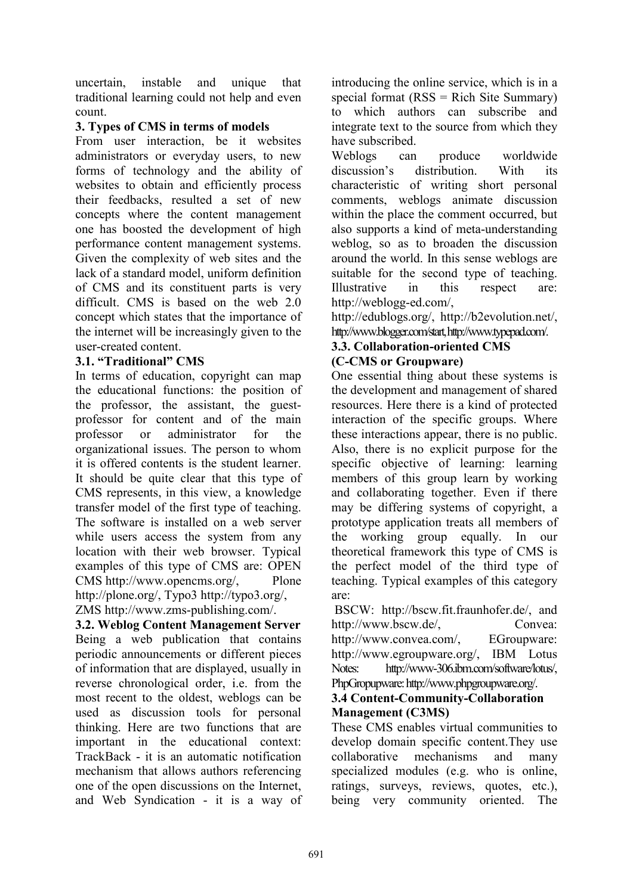uncertain, instable and unique that traditional learning could not help and even count.

# **3. Types of CMS in terms of models**

From user interaction, be it websites administrators or everyday users, to new forms of technology and the ability of websites to obtain and efficiently process their feedbacks, resulted a set of new concepts where the content management one has boosted the development of high performance content management systems. Given the complexity of web sites and the lack of a standard model, uniform definition of CMS and its constituent parts is very difficult. CMS is based on the web 2.0 concept which states that the importance of the internet will be increasingly given to the user-created content.

## **3.1. "Traditional" CMS**

In terms of education, copyright can map the educational functions: the position of the professor, the assistant, the guestprofessor for content and of the main professor or administrator for the organizational issues. The person to whom it is offered contents is the student learner. It should be quite clear that this type of CMS represents, in this view, a knowledge transfer model of the first type of teaching. The software is installed on a web server while users access the system from any location with their web browser. Typical examples of this type of CMS are: OPEN CMS http://www.opencms.org/, Plone http://plone.org/, Typo3 http://typo3.org/, ZMS [http://www.zms-publishing.com/.](http://www.zms-publishing.com/)

**3.2. Weblog Content Management Server** Being a web publication that contains periodic announcements or different pieces of information that are displayed, usually in reverse chronological order, i.e. from the most recent to the oldest, weblogs can be used as discussion tools for personal thinking. Here are two functions that are important in the educational context: TrackBack - it is an automatic notification mechanism that allows authors referencing one of the open discussions on the Internet, and Web Syndication - it is a way of introducing the online service, which is in a special format  $(RSS = Rich Site Summary)$ to which authors can subscribe and integrate text to the source from which they have subscribed.

Weblogs can produce worldwide discussion's distribution With its characteristic of writing short personal comments, weblogs animate discussion within the place the comment occurred, but also supports a kind of meta-understanding weblog, so as to broaden the discussion around the world. In this sense weblogs are suitable for the second type of teaching. Illustrative in this respect are: http://weblogg-ed.com/,

http://edublogs.org/, http://b2evolution.net/, http://www.blogger.com/start, http://www.typepad.com/.

## **3.3. Collaboration-oriented CMS (C-CMS or Groupware)**

One essential thing about these systems is the development and management of shared resources. Here there is a kind of protected interaction of the specific groups. Where these interactions appear, there is no public. Also, there is no explicit purpose for the specific objective of learning: learning members of this group learn by working and collaborating together. Even if there may be differing systems of copyright, a prototype application treats all members of the working group equally. In our theoretical framework this type of CMS is the perfect model of the third type of teaching. Typical examples of this category are:

BSCW: http://bscw.fit.fraunhofer.de/, and http://www.bscw.de/, Convea: http://www.convea.com/, EGroupware: http://www.egroupware.org/, IBM Lotus Notes: http://www-306.ibm.com/software/lotus/, PhpGropupware:http://www.phpgroupware.org/.

## **3.4 Content-Community-Collaboration Management (C3MS)**

These CMS enables virtual communities to develop domain specific content.They use collaborative mechanisms and many specialized modules (e.g. who is online, ratings, surveys, reviews, quotes, etc.), being very community oriented. The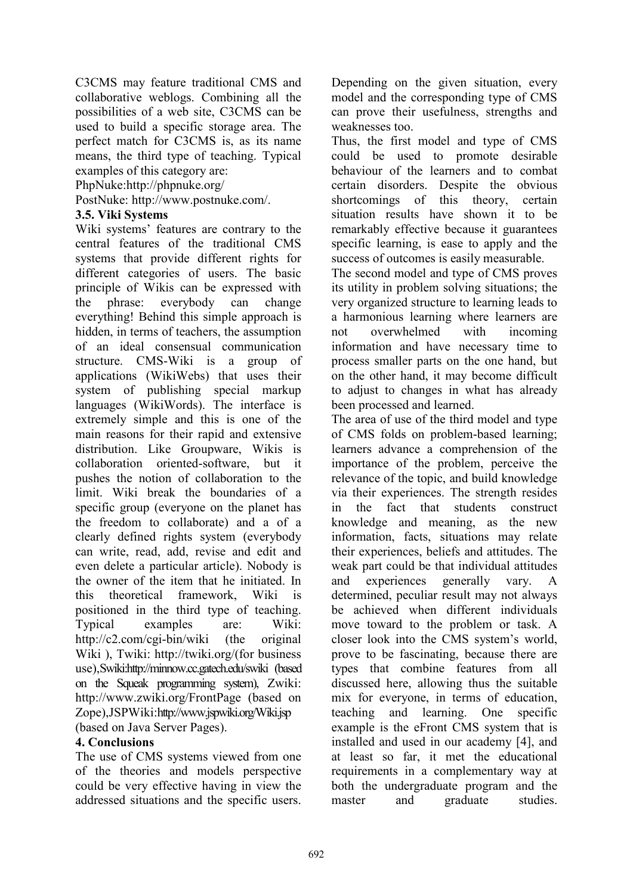C3CMS may feature traditional CMS and collaborative weblogs. Combining all the possibilities of a web site, C3CMS can be used to build a specific storage area. The perfect match for C3CMS is, as its name means, the third type of teaching. Typical examples of this category are:

PhpNuke:http://phpnuke.org/

PostNuke: http://www.postnuke.com/.

## **3.5. Viki Systems**

Wiki systems' features are contrary to the central features of the traditional CMS systems that provide different rights for different categories of users. The basic principle of Wikis can be expressed with the phrase: everybody can change everything! Behind this simple approach is hidden, in terms of teachers, the assumption of an ideal consensual communication structure. CMS-Wiki is a group of applications (WikiWebs) that uses their system of publishing special markup languages (WikiWords). The interface is extremely simple and this is one of the main reasons for their rapid and extensive distribution. Like Groupware, Wikis is collaboration oriented-software, but it pushes the notion of collaboration to the limit. Wiki break the boundaries of a specific group (everyone on the planet has the freedom to collaborate) and a of a clearly defined rights system (everybody can write, read, add, revise and edit and even delete a particular article). Nobody is the owner of the item that he initiated. In this theoretical framework, Wiki is positioned in the third type of teaching. Typical examples are: Wiki: http://c2.com/cgi-bin/wiki (the original Wiki ), Twiki: http://twiki.org/(for business use),Swiki:http://minnow.cc.gatech.edu/swiki (based on the Squeak programming system), Zwiki: http://www.zwiki.org/FrontPage (based on Zope),JSPWiki:http://www.jspwiki.org/Wiki.jsp (based on Java Server Pages).

# **4. Conclusions**

The use of CMS systems viewed from one of the theories and models perspective could be very effective having in view the addressed situations and the specific users. Depending on the given situation, every model and the corresponding type of CMS can prove their usefulness, strengths and weaknesses too.

Thus, the first model and type of CMS could be used to promote desirable behaviour of the learners and to combat certain disorders. Despite the obvious shortcomings of this theory, certain situation results have shown it to be remarkably effective because it guarantees specific learning, is ease to apply and the success of outcomes is easily measurable.

The second model and type of CMS proves its utility in problem solving situations; the very organized structure to learning leads to a harmonious learning where learners are<br>not overwhelmed with incoming not overwhelmed with incoming information and have necessary time to process smaller parts on the one hand, but on the other hand, it may become difficult to adjust to changes in what has already been processed and learned.

The area of use of the third model and type of CMS folds on problem-based learning; learners advance a comprehension of the importance of the problem, perceive the relevance of the topic, and build knowledge via their experiences. The strength resides in the fact that students construct knowledge and meaning, as the new information, facts, situations may relate their experiences, beliefs and attitudes. The weak part could be that individual attitudes and experiences generally vary. A determined, peculiar result may not always be achieved when different individuals move toward to the problem or task. A closer look into the CMS system's world, prove to be fascinating, because there are types that combine features from all discussed here, allowing thus the suitable mix for everyone, in terms of education, teaching and learning. One specific example is the eFront CMS system that is installed and used in our academy [4], and at least so far, it met the educational requirements in a complementary way at both the undergraduate program and the master and graduate studies.